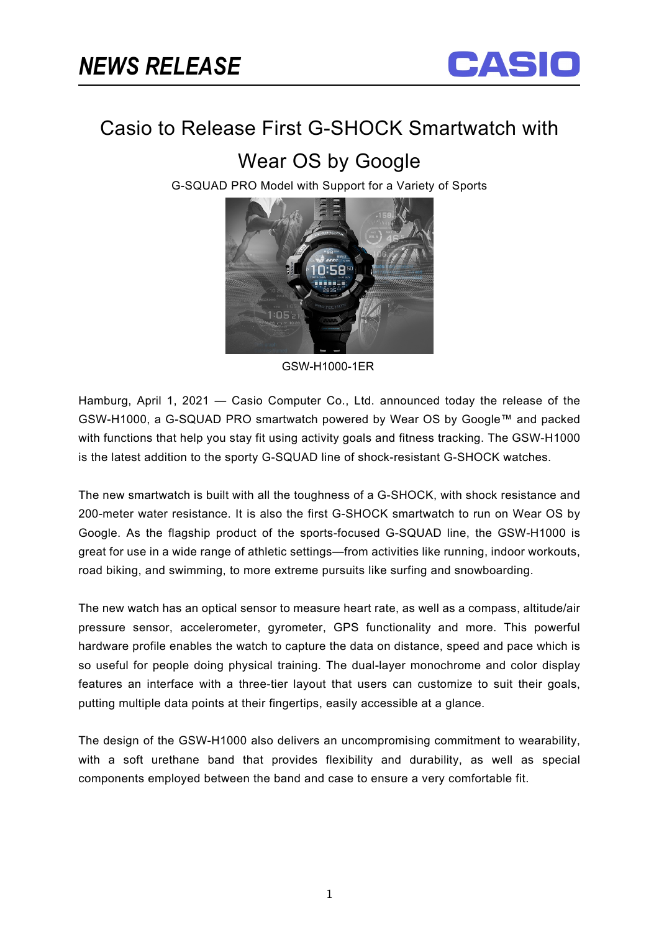

# Casio to Release First G-SHOCK Smartwatch with

Wear OS by Google

G-SQUAD PRO Model with Support for a Variety of Sports



GSW-H1000-1ER

Hamburg, April 1, 2021 — Casio Computer Co., Ltd. announced today the release of the GSW-H1000, a G-SQUAD PRO smartwatch powered by Wear OS by Google™ and packed with functions that help you stay fit using activity goals and fitness tracking. The GSW-H1000 is the latest addition to the sporty G-SQUAD line of shock-resistant G-SHOCK watches.

The new smartwatch is built with all the toughness of a G-SHOCK, with shock resistance and 200-meter water resistance. It is also the first G-SHOCK smartwatch to run on Wear OS by Google. As the flagship product of the sports-focused G-SQUAD line, the GSW-H1000 is great for use in a wide range of athletic settings—from activities like running, indoor workouts, road biking, and swimming, to more extreme pursuits like surfing and snowboarding.

The new watch has an optical sensor to measure heart rate, as well as a compass, altitude/air pressure sensor, accelerometer, gyrometer, GPS functionality and more. This powerful hardware profile enables the watch to capture the data on distance, speed and pace which is so useful for people doing physical training. The dual-layer monochrome and color display features an interface with a three-tier layout that users can customize to suit their goals, putting multiple data points at their fingertips, easily accessible at a glance.

The design of the GSW-H1000 also delivers an uncompromising commitment to wearability, with a soft urethane band that provides flexibility and durability, as well as special components employed between the band and case to ensure a very comfortable fit.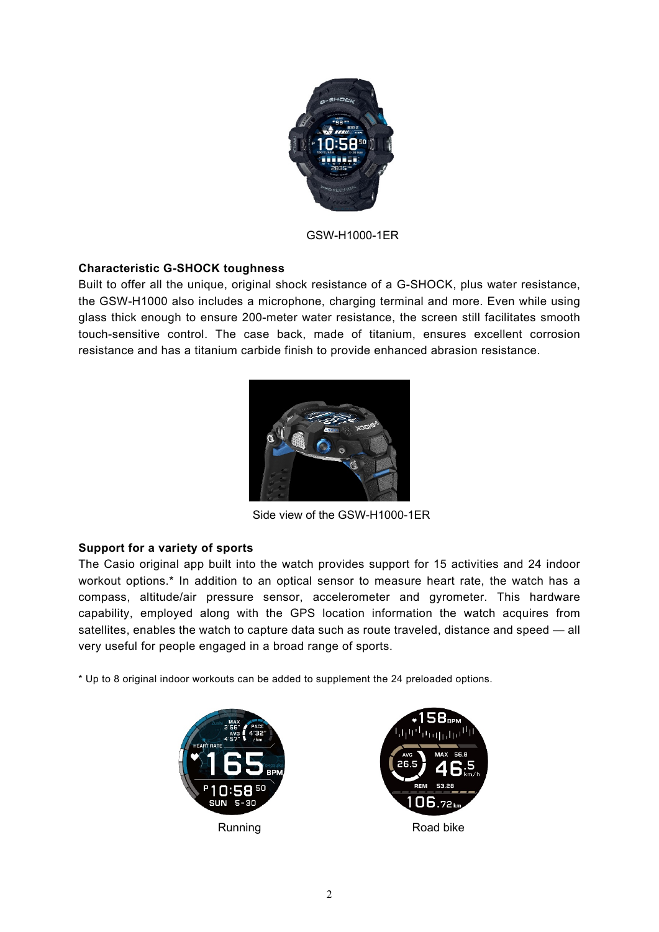

GSW-H1000-1ER

## **Characteristic G-SHOCK toughness**

Built to offer all the unique, original shock resistance of a G-SHOCK, plus water resistance, the GSW-H1000 also includes a microphone, charging terminal and more. Even while using glass thick enough to ensure 200-meter water resistance, the screen still facilitates smooth touch-sensitive control. The case back, made of titanium, ensures excellent corrosion resistance and has a titanium carbide finish to provide enhanced abrasion resistance.



Side view of the GSW-H1000-1ER

## **Support for a variety of sports**

The Casio original app built into the watch provides support for 15 activities and 24 indoor workout options.\* In addition to an optical sensor to measure heart rate, the watch has a compass, altitude/air pressure sensor, accelerometer and gyrometer. This hardware capability, employed along with the GPS location information the watch acquires from satellites, enables the watch to capture data such as route traveled, distance and speed — all very useful for people engaged in a broad range of sports.

\* Up to 8 original indoor workouts can be added to supplement the 24 preloaded options.



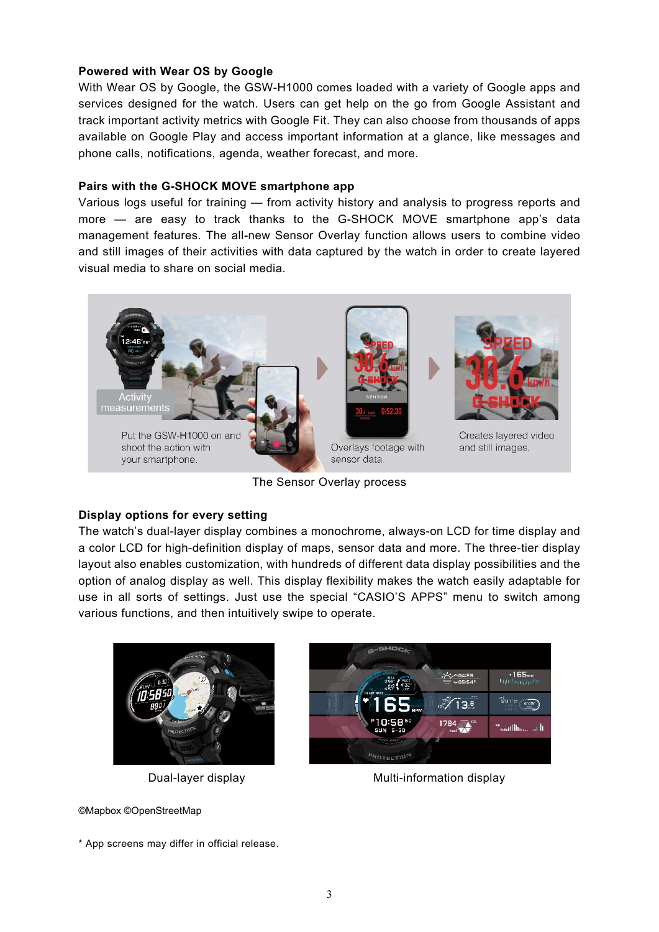### **Powered with Wear OS by Google**

With Wear OS by Google, the GSW-H1000 comes loaded with a variety of Google apps and services designed for the watch. Users can get help on the go from Google Assistant and track important activity metrics with Google Fit. They can also choose from thousands of apps available on Google Play and access important information at a glance, like messages and phone calls, notifications, agenda, weather forecast, and more.

#### **Pairs with the G-SHOCK MOVE smartphone app**

Various logs useful for training — from activity history and analysis to progress reports and more — are easy to track thanks to the G-SHOCK MOVE smartphone app's data management features. The all-new Sensor Overlay function allows users to combine video and still images of their activities with data captured by the watch in order to create layered visual media to share on social media.



The Sensor Overlay process

#### **Display options for every setting**

The watch's dual-layer display combines a monochrome, always-on LCD for time display and a color LCD for high-definition display of maps, sensor data and more. The three-tier display layout also enables customization, with hundreds of different data display possibilities and the option of analog display as well. This display flexibility makes the watch easily adaptable for use in all sorts of settings. Just use the special "CASIO'S APPS" menu to switch among various functions, and then intuitively swipe to operate.



©Mapbox ©OpenStreetMap

Dual-layer display Multi-information display

\* App screens may differ in official release.